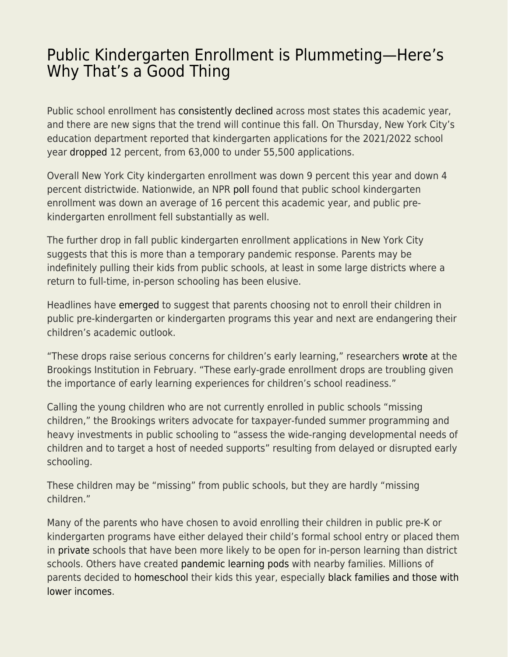## [Public Kindergarten Enrollment is Plummeting—Here's](https://everything-voluntary.com/public-kindergarten-enrollment-is-plummeting-heres-why-thats-a-good-thing) [Why That's a Good Thing](https://everything-voluntary.com/public-kindergarten-enrollment-is-plummeting-heres-why-thats-a-good-thing)

Public school enrollment has [consistently declined](https://apnews.com/article/us-news-home-schooling-mississippi-coronavirus-pandemic-bf3984a4be2679de28b7770e50ff0616) across most states this academic year, and there are new signs that the trend will continue this fall. On Thursday, New York City's education department reported that kindergarten applications for the 2021/2022 school year [dropped](https://ny.chalkbeat.org/2021/4/8/22374020/nyc-kindergarten-applications-decline-coronavirus) 12 percent, from 63,000 to under 55,500 applications.

Overall New York City kindergarten enrollment was down 9 percent this year and down 4 percent districtwide. Nationwide, an NPR [poll](https://www.npr.org/2020/10/09/920316481/enrollment-is-dropping-in-public-schools-around-the-country) found that public school kindergarten enrollment was down an average of 16 percent this academic year, and public prekindergarten enrollment fell substantially as well.

The further drop in fall public kindergarten enrollment applications in New York City suggests that this is more than a temporary pandemic response. Parents may be indefinitely pulling their kids from public schools, at least in some large districts where a return to full-time, in-person schooling has been elusive.

Headlines have [emerged](https://local12.com/news/local/kindergarten-enrollment-down-experts-worry-about-kids-catching-up) to suggest that parents choosing not to enroll their children in public pre-kindergarten or kindergarten programs this year and next are endangering their children's academic outlook.

"These drops raise serious concerns for children's early learning," researchers [wrote](https://www.brookings.edu/blog/brown-center-chalkboard/2021/02/22/understanding-covid-19-era-enrollment-drops-among-early-grade-public-school-students/) at the Brookings Institution in February. "These early-grade enrollment drops are troubling given the importance of early learning experiences for children's school readiness."

Calling the young children who are not currently enrolled in public schools "missing children," the Brookings writers advocate for taxpayer-funded summer programming and heavy investments in public schooling to "assess the wide-ranging developmental needs of children and to target a host of needed supports" resulting from delayed or disrupted early schooling.

These children may be "missing" from public schools, but they are hardly "missing children."

Many of the parents who have chosen to avoid enrolling their children in public pre-K or kindergarten programs have either delayed their child's formal school entry or placed them in [private](https://thehill.com/opinion/education/527623-one-sector-is-flourishing-during-the-pandemic-k-12-private-schools) schools that have been more likely to be open for in-person learning than district schools. Others have created [pandemic learning pods](https://www.marketplace.org/2021/02/25/how-are-pandemic-learning-pods-doing/) with nearby families. Millions of parents decided to [homeschool](https://fee.org/articles/us-census-homeschooling-triples-diversifies-during-pandemic-response/) their kids this year, especially [black families and those with](https://fee.org/articles/us-census-homeschooling-triples-diversifies-during-pandemic-response/) [lower incomes.](https://fee.org/articles/us-census-homeschooling-triples-diversifies-during-pandemic-response/)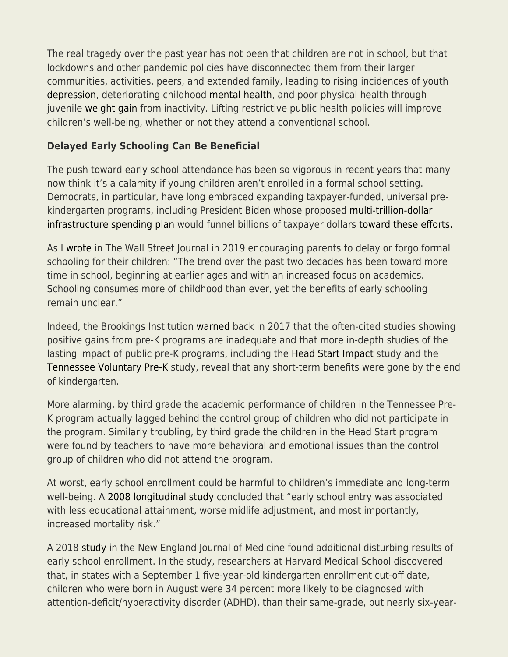The real tragedy over the past year has not been that children are not in school, but that lockdowns and other pandemic policies have disconnected them from their larger communities, activities, peers, and extended family, leading to rising incidences of youth [depression,](https://fee.org/articles/youth-depression-suicide-increasing-during-pandemic-response/) deteriorating childhood [mental health,](https://fee.org/articles/cambridge-study-children-s-mental-health-has-deteriorated-substantially-during-lockdown/) and poor physical health through juvenile [weight gain](https://www.wsj.com/articles/remote-learning-during-covid-19-is-causing-children-to-gain-weight-doctors-warn-11613298602) from inactivity. Lifting restrictive public health policies will improve children's well-being, whether or not they attend a conventional school.

## **Delayed Early Schooling Can Be Beneficial**

The push toward early school attendance has been so vigorous in recent years that many now think it's a calamity if young children aren't enrolled in a formal school setting. Democrats, in particular, have long embraced expanding taxpayer-funded, universal prekindergarten programs, including President Biden whose proposed [multi-trillion-dollar](https://fee.org/articles/9-crazy-examples-of-unrelated-waste-and-partisan-spending-in-biden-s-2t-infrastructure-proposal/) [infrastructure spending plan](https://fee.org/articles/9-crazy-examples-of-unrelated-waste-and-partisan-spending-in-biden-s-2t-infrastructure-proposal/) would funnel billions of taxpayer dollars [toward these efforts.](https://www.washingtonpost.com/us-policy/2021/03/22/infrastructure-biden-drug-reform/)

As I [wrote](https://www.wsj.com/articles/toddlers-dont-have-to-go-to-school-11565045188) in The Wall Street Journal in 2019 encouraging parents to delay or forgo formal schooling for their children: "The trend over the past two decades has been toward more time in school, beginning at earlier ages and with an increased focus on academics. Schooling consumes more of childhood than ever, yet the benefits of early schooling remain unclear."

Indeed, the Brookings Institution [warned](https://www.brookings.edu/blog/education-plus-development/2017/02/24/misrepresented-evidence-doesnt-serve-pre-k-programs-well/) back in 2017 that the often-cited studies showing positive gains from pre-K programs are inadequate and that more in-depth studies of the lasting impact of public pre-K programs, including th[e Head Start Impact](https://www.acf.hhs.gov/opre/report/third-grade-follow-head-start-impact-study-final-report) study and the [Tennessee Voluntary Pre-K](https://cdn.vanderbilt.edu/vu-my/wp-content/uploads/sites/1147/2018/05/14112750/Effects-of-the-Tennessee-Prekindergarten-Program-on-Childrens-Achievement-and-Behavior-through-Third-Grade.pdf) study, reveal that any short-term benefits were gone by the end of kindergarten.

More alarming, by third grade the academic performance of children in the Tennessee Pre-K program actually lagged behind the control group of children who did not participate in the program. Similarly troubling, by third grade the children in the Head Start program were found by teachers to have more behavioral and emotional issues than the control group of children who did not attend the program.

At worst, early school enrollment could be harmful to children's immediate and long-term well-being. A [2008 longitudinal study](http://www.ncbi.nlm.nih.gov/pmc/articles/PMC2713445/) concluded that "early school entry was associated with less educational attainment, worse midlife adjustment, and most importantly, increased mortality risk."

A 2018 [study](https://www.nejm.org/doi/full/10.1056/NEJMoa1806828) in the New England Journal of Medicine found additional disturbing results of early school enrollment. In the study, researchers at Harvard Medical School discovered that, in states with a September 1 five-year-old kindergarten enrollment cut-off date, children who were born in August were 34 percent more likely to be diagnosed with attention-deficit/hyperactivity disorder (ADHD), than their same-grade, but nearly six-year